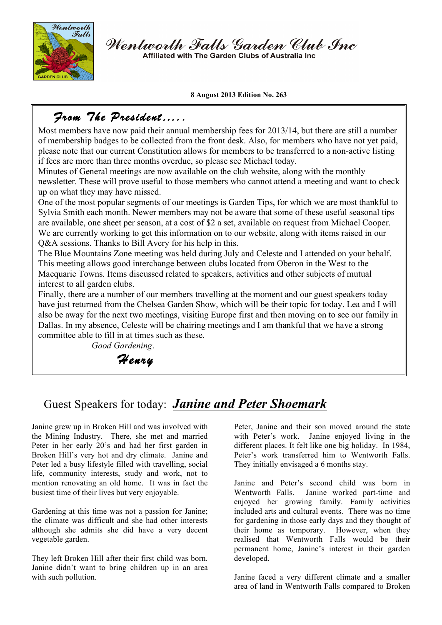

Wentworth Falls Garden Club Inc Affiliated with The Garden Clubs of Australia Inc

**8 August 2013 Edition No. 263**

## *From The President…..*

Most members have now paid their annual membership fees for 2013/14, but there are still a number of membership badges to be collected from the front desk. Also, for members who have not yet paid, please note that our current Constitution allows for members to be transferred to a non-active listing if fees are more than three months overdue, so please see Michael today.

Minutes of General meetings are now available on the club website, along with the monthly newsletter. These will prove useful to those members who cannot attend a meeting and want to check up on what they may have missed.

One of the most popular segments of our meetings is Garden Tips, for which we are most thankful to Sylvia Smith each month. Newer members may not be aware that some of these useful seasonal tips are available, one sheet per season, at a cost of \$2 a set, available on request from Michael Cooper. We are currently working to get this information on to our website, along with items raised in our Q&A sessions. Thanks to Bill Avery for his help in this.

The Blue Mountains Zone meeting was held during July and Celeste and I attended on your behalf. This meeting allows good interchange between clubs located from Oberon in the West to the Macquarie Towns. Items discussed related to speakers, activities and other subjects of mutual interest to all garden clubs.

Finally, there are a number of our members travelling at the moment and our guest speakers today have just returned from the Chelsea Garden Show, which will be their topic for today. Lea and I will also be away for the next two meetings, visiting Europe first and then moving on to see our family in Dallas. In my absence, Celeste will be chairing meetings and I am thankful that we have a strong committee able to fill in at times such as these.

*Good Gardening*.

*Henry* 

# Guest Speakers for today: *Janine and Peter Shoemark*

Janine grew up in Broken Hill and was involved with the Mining Industry. There, she met and married Peter in her early 20's and had her first garden in Broken Hill's very hot and dry climate. Janine and Peter led a busy lifestyle filled with travelling, social life, community interests, study and work, not to mention renovating an old home. It was in fact the busiest time of their lives but very enjoyable.

Gardening at this time was not a passion for Janine; the climate was difficult and she had other interests although she admits she did have a very decent vegetable garden.

They left Broken Hill after their first child was born. Janine didn't want to bring children up in an area with such pollution.

Peter, Janine and their son moved around the state with Peter's work. Janine enjoyed living in the different places. It felt like one big holiday. In 1984, Peter's work transferred him to Wentworth Falls. They initially envisaged a 6 months stay.

Janine and Peter's second child was born in Wentworth Falls. Janine worked part-time and enjoyed her growing family. Family activities included arts and cultural events. There was no time for gardening in those early days and they thought of their home as temporary. However, when they realised that Wentworth Falls would be their permanent home, Janine's interest in their garden developed.

Janine faced a very different climate and a smaller area of land in Wentworth Falls compared to Broken